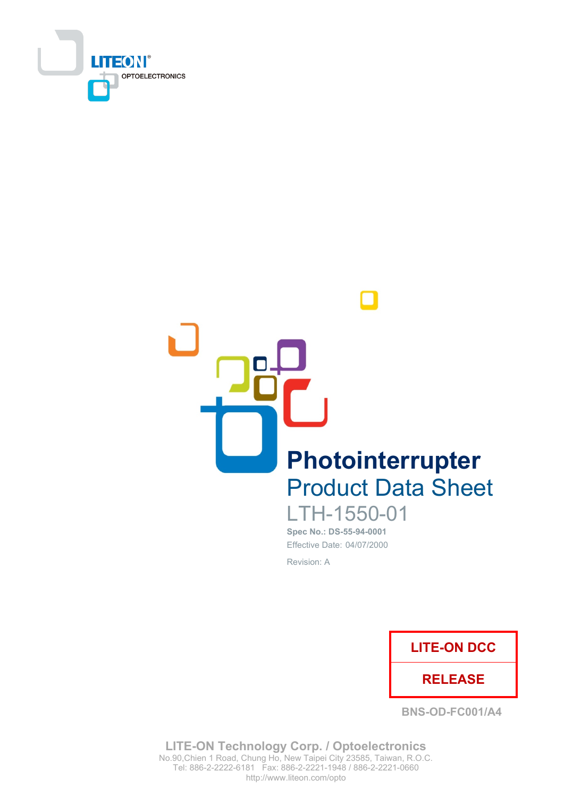



LTH-1550-01 Spec No.: DS-55-94-0001

Effective Date: 04/07/2000 Revision: A



**BNS-OD-FC001/A4** 

**LITE-ON Technology Corp. / Optoelectronics** No.90, Chien 1 Road, Chung Ho, New Taipei City 23585, Taiwan, R.O.C. Tel: 886-2-2222-6181 Fax: 886-2-2221-1948 / 886-2-2221-0660 http://www.liteon.com/opto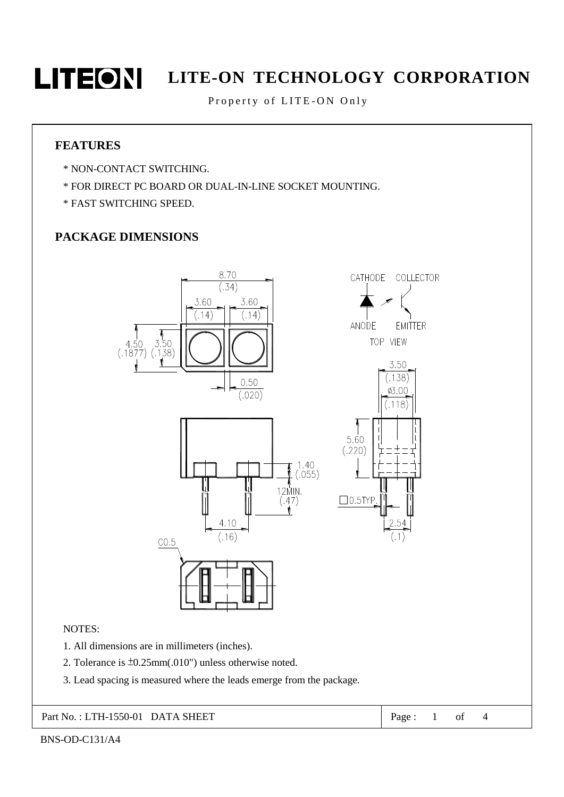

# **LITEON** LITE-ON TECHNOLOGY CORPORATION

Property of LITE-ON Only

#### **FEATURES**

- \* NON-CONTACT SWITCHING.
- \* FOR DIRECT PC BOARD OR DUAL-IN-LINE SOCKET MOUNTING.
- \* FAST SWITCHING SPEED.

#### PACKAGE DIMENSIONS



3. Lead spacing is measured where the leads emerge from the package.

Part No.: LTH-1550-01 DATA SHEET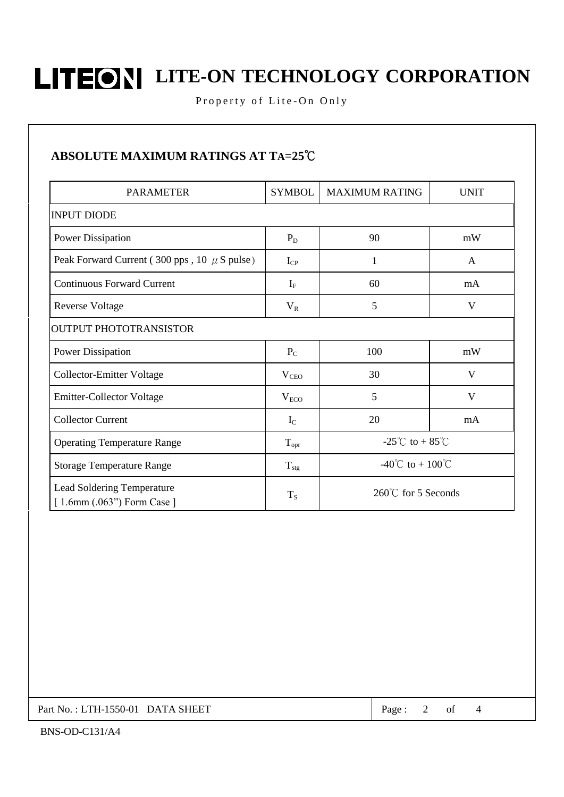# **LITEONI** LITE-ON TECHNOLOGY CORPORATION

Property of Lite-On Only

#### ABSOLUTE MAXIMUM RATINGS AT TA=25°C

| <b>PARAMETER</b>                                           | <b>SYMBOL</b>    | <b>MAXIMUM RATING</b>                     | <b>UNIT</b>  |  |  |  |  |  |  |
|------------------------------------------------------------|------------------|-------------------------------------------|--------------|--|--|--|--|--|--|
| <b>INPUT DIODE</b>                                         |                  |                                           |              |  |  |  |  |  |  |
| <b>Power Dissipation</b>                                   | $P_D$            | 90                                        | mW           |  |  |  |  |  |  |
| Peak Forward Current (300 pps, 10 $\mu$ S pulse)           | $I_{\rm CP}$     | 1                                         | $\mathsf{A}$ |  |  |  |  |  |  |
| <b>Continuous Forward Current</b>                          | $I_F$            | 60                                        | mA           |  |  |  |  |  |  |
| <b>Reverse Voltage</b>                                     | $V_{R}$          | 5                                         | V            |  |  |  |  |  |  |
| <b>OUTPUT PHOTOTRANSISTOR</b>                              |                  |                                           |              |  |  |  |  |  |  |
| <b>Power Dissipation</b>                                   | $P_{C}$          | 100                                       | mW           |  |  |  |  |  |  |
| <b>Collector-Emitter Voltage</b>                           | $V_{\text{CEO}}$ | 30                                        | V            |  |  |  |  |  |  |
| <b>Emitter-Collector Voltage</b>                           | $V_{ECO}$        | 5                                         | V            |  |  |  |  |  |  |
| <b>Collector Current</b>                                   | $I_{\rm C}$      | 20                                        | mA           |  |  |  |  |  |  |
| <b>Operating Temperature Range</b>                         | $T_{\text{opr}}$ | -25 <sup>°</sup> C to + 85 <sup>°</sup> C |              |  |  |  |  |  |  |
| <b>Storage Temperature Range</b>                           | $T_{\text{stg}}$ | -40°C to + 100°C                          |              |  |  |  |  |  |  |
| Lead Soldering Temperature<br>$[1.6mm (.063")$ Form Case ] | $T_S$            | 260°℃ for 5 Seconds                       |              |  |  |  |  |  |  |

Part No.: LTH-1550-01 DATA SHEET

Page:  $\overline{2}$  $\sigma f$   $\overline{4}$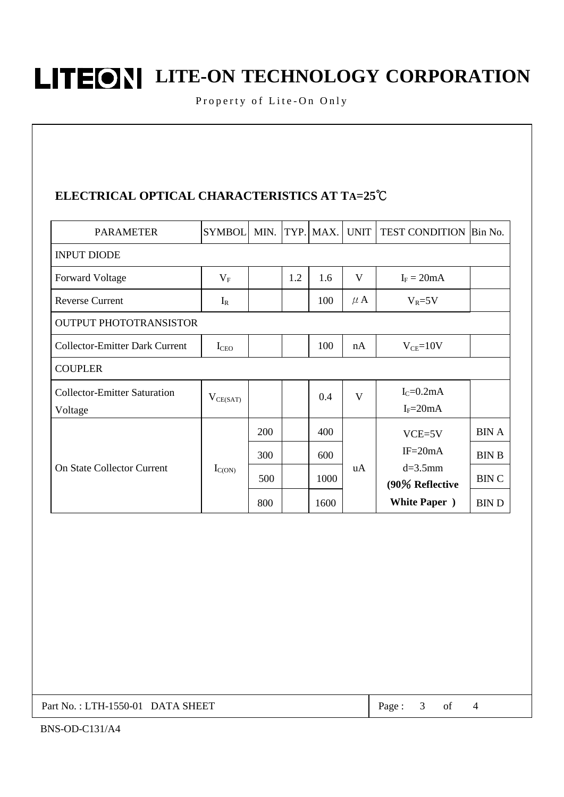**LITEONI** LITE-ON TECHNOLOGY CORPORATION

Property of Lite-On Only

### ELECTRICAL OPTICAL CHARACTERISTICS AT TA=25°C

| <b>PARAMETER</b>                               | <b>SYMBOL</b>    | MIN. | TYP. | MAX. | <b>UNIT</b> | <b>TEST CONDITION Bin No.</b> |              |  |  |  |
|------------------------------------------------|------------------|------|------|------|-------------|-------------------------------|--------------|--|--|--|
| <b>INPUT DIODE</b>                             |                  |      |      |      |             |                               |              |  |  |  |
| <b>Forward Voltage</b>                         | $V_{F}$          |      | 1.2  | 1.6  | V           | $I_F = 20mA$                  |              |  |  |  |
| <b>Reverse Current</b>                         | $I_R$            |      |      | 100  | $\mu$ A     | $V_R = 5V$                    |              |  |  |  |
| <b>OUTPUT PHOTOTRANSISTOR</b>                  |                  |      |      |      |             |                               |              |  |  |  |
| <b>Collector-Emitter Dark Current</b>          | $I_{\text{CEO}}$ |      |      | 100  | nA          | $V_{CE} = 10V$                |              |  |  |  |
| <b>COUPLER</b>                                 |                  |      |      |      |             |                               |              |  |  |  |
| <b>Collector-Emitter Saturation</b><br>Voltage | $V_{CE(SAT)}$    |      |      | 0.4  | V           | $IC=0.2mA$<br>$I_F = 20mA$    |              |  |  |  |
| <b>On State Collector Current</b>              | $I_{C(ON)}$      | 200  |      | 400  | uA          | $VCE=5V$                      | <b>BIN A</b> |  |  |  |
|                                                |                  | 300  |      | 600  |             | $IF = 20mA$                   | <b>BIN B</b> |  |  |  |
|                                                |                  | 500  |      | 1000 |             | $d=3.5$ mm<br>(90% Reflective | <b>BINC</b>  |  |  |  |
|                                                |                  | 800  |      | 1600 |             | <b>White Paper</b> )          | <b>BIND</b>  |  |  |  |

Part No.: LTH-1550-01 DATA SHEET

Page:  $\mathfrak{Z}$ of  $\overline{4}$ 

BNS-OD-C131/A4